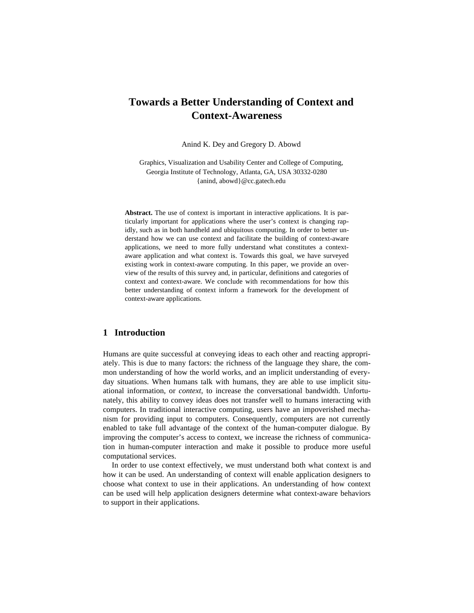# **Towards a Better Understanding of Context and Context-Awareness**

Anind K. Dey and Gregory D. Abowd

Graphics, Visualization and Usability Center and College of Computing, Georgia Institute of Technology, Atlanta, GA, USA 30332-0280 {anind, abowd}@cc.gatech.edu

**Abstract.** The use of context is important in interactive applications. It is particularly important for applications where the user's context is changing rapidly, such as in both handheld and ubiquitous computing. In order to better understand how we can use context and facilitate the building of context-aware applications, we need to more fully understand what constitutes a contextaware application and what context is. Towards this goal, we have surveyed existing work in context-aware computing. In this paper, we provide an overview of the results of this survey and, in particular, definitions and categories of context and context-aware. We conclude with recommendations for how this better understanding of context inform a framework for the development of context-aware applications.

# **1 Introduction**

Humans are quite successful at conveying ideas to each other and reacting appropriately. This is due to many factors: the richness of the language they share, the common understanding of how the world works, and an implicit understanding of everyday situations. When humans talk with humans, they are able to use implicit situational information, or *context*, to increase the conversational bandwidth. Unfortunately, this ability to convey ideas does not transfer well to humans interacting with computers. In traditional interactive computing, users have an impoverished mechanism for providing input to computers. Consequently, computers are not currently enabled to take full advantage of the context of the human-computer dialogue. By improving the computer's access to context, we increase the richness of communication in human-computer interaction and make it possible to produce more useful computational services.

In order to use context effectively, we must understand both what context is and how it can be used. An understanding of context will enable application designers to choose what context to use in their applications. An understanding of how context can be used will help application designers determine what context-aware behaviors to support in their applications.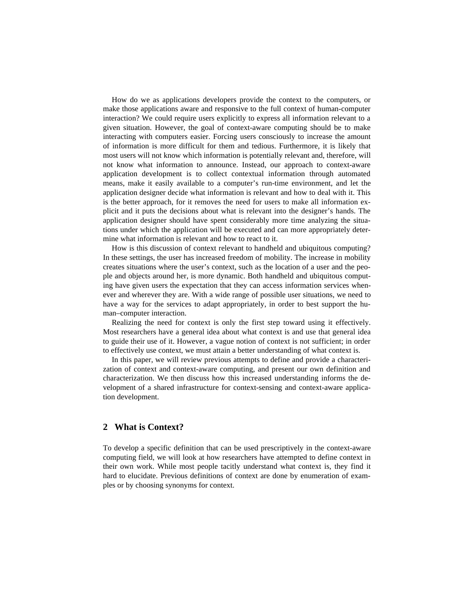How do we as applications developers provide the context to the computers, or make those applications aware and responsive to the full context of human-computer interaction? We could require users explicitly to express all information relevant to a given situation. However, the goal of context-aware computing should be to make interacting with computers easier. Forcing users consciously to increase the amount of information is more difficult for them and tedious. Furthermore, it is likely that most users will not know which information is potentially relevant and, therefore, will not know what information to announce. Instead, our approach to context-aware application development is to collect contextual information through automated means, make it easily available to a computer's run-time environment, and let the application designer decide what information is relevant and how to deal with it. This is the better approach, for it removes the need for users to make all information explicit and it puts the decisions about what is relevant into the designer's hands. The application designer should have spent considerably more time analyzing the situations under which the application will be executed and can more appropriately determine what information is relevant and how to react to it.

How is this discussion of context relevant to handheld and ubiquitous computing? In these settings, the user has increased freedom of mobility. The increase in mobility creates situations where the user's context, such as the location of a user and the people and objects around her, is more dynamic. Both handheld and ubiquitous computing have given users the expectation that they can access information services whenever and wherever they are. With a wide range of possible user situations, we need to have a way for the services to adapt appropriately, in order to best support the human–computer interaction.

Realizing the need for context is only the first step toward using it effectively. Most researchers have a general idea about what context is and use that general idea to guide their use of it. However, a vague notion of context is not sufficient; in order to effectively use context, we must attain a better understanding of what context is.

In this paper, we will review previous attempts to define and provide a characterization of context and context-aware computing, and present our own definition and characterization. We then discuss how this increased understanding informs the development of a shared infrastructure for context-sensing and context-aware application development.

## **2 What is Context?**

To develop a specific definition that can be used prescriptively in the context-aware computing field, we will look at how researchers have attempted to define context in their own work. While most people tacitly understand what context is, they find it hard to elucidate. Previous definitions of context are done by enumeration of examples or by choosing synonyms for context.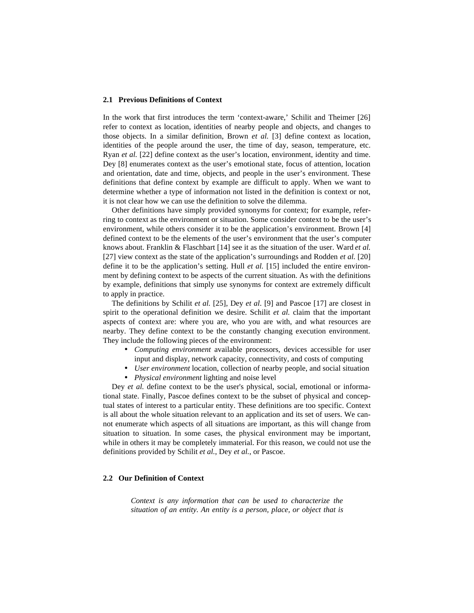## **2.1 Previous Definitions of Context**

In the work that first introduces the term 'context-aware,' Schilit and Theimer [26] refer to context as location, identities of nearby people and objects, and changes to those objects. In a similar definition, Brown *et al.* [3] define context as location, identities of the people around the user, the time of day, season, temperature, etc. Ryan *et al.* [22] define context as the user's location, environment, identity and time. Dey [8] enumerates context as the user's emotional state, focus of attention, location and orientation, date and time, objects, and people in the user's environment. These definitions that define context by example are difficult to apply. When we want to determine whether a type of information not listed in the definition is context or not, it is not clear how we can use the definition to solve the dilemma.

Other definitions have simply provided synonyms for context; for example, referring to context as the environment or situation. Some consider context to be the user's environment, while others consider it to be the application's environment. Brown [4] defined context to be the elements of the user's environment that the user's computer knows about. Franklin & Flaschbart [14] see it as the situation of the user. Ward *et al.* [27] view context as the state of the application's surroundings and Rodden *et al.* [20] define it to be the application's setting. Hull *et al.* [15] included the entire environment by defining context to be aspects of the current situation. As with the definitions by example, definitions that simply use synonyms for context are extremely difficult to apply in practice.

The definitions by Schilit *et al.* [25], Dey *et al*. [9] and Pascoe [17] are closest in spirit to the operational definition we desire. Schilit *et al.* claim that the important aspects of context are: where you are, who you are with, and what resources are nearby. They define context to be the constantly changing execution environment. They include the following pieces of the environment:

- *Computing environment* available processors, devices accessible for user input and display, network capacity, connectivity, and costs of computing
- *User environment* location, collection of nearby people, and social situation
- *Physical environment* lighting and noise level

Dey *et al.* define context to be the user's physical, social, emotional or informational state. Finally, Pascoe defines context to be the subset of physical and conceptual states of interest to a particular entity. These definitions are too specific. Context is all about the whole situation relevant to an application and its set of users. We cannot enumerate which aspects of all situations are important, as this will change from situation to situation. In some cases, the physical environment may be important, while in others it may be completely immaterial. For this reason, we could not use the definitions provided by Schilit *et al.*, Dey *et al.*, or Pascoe.

### **2.2 Our Definition of Context**

*Context is any information that can be used to characterize the situation of an entity. An entity is a person, place, or object that is*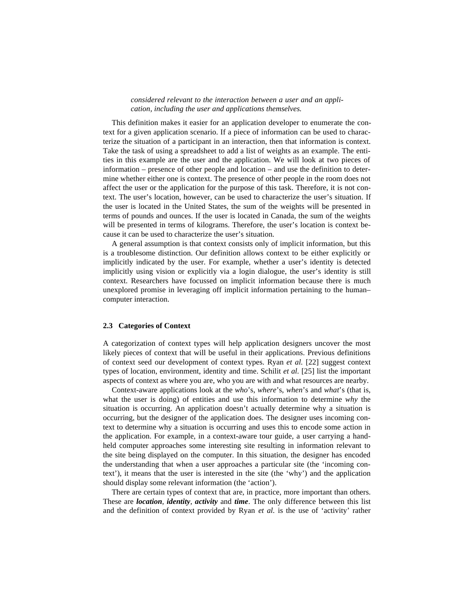## *considered relevant to the interaction between a user and an application, including the user and applications themselves.*

This definition makes it easier for an application developer to enumerate the context for a given application scenario. If a piece of information can be used to characterize the situation of a participant in an interaction, then that information is context. Take the task of using a spreadsheet to add a list of weights as an example. The entities in this example are the user and the application. We will look at two pieces of information – presence of other people and location – and use the definition to determine whether either one is context. The presence of other people in the room does not affect the user or the application for the purpose of this task. Therefore, it is not context. The user's location, however, can be used to characterize the user's situation. If the user is located in the United States, the sum of the weights will be presented in terms of pounds and ounces. If the user is located in Canada, the sum of the weights will be presented in terms of kilograms. Therefore, the user's location is context because it can be used to characterize the user's situation.

A general assumption is that context consists only of implicit information, but this is a troublesome distinction. Our definition allows context to be either explicitly or implicitly indicated by the user. For example, whether a user's identity is detected implicitly using vision or explicitly via a login dialogue, the user's identity is still context. Researchers have focussed on implicit information because there is much unexplored promise in leveraging off implicit information pertaining to the human– computer interaction.

### **2.3 Categories of Context**

A categorization of context types will help application designers uncover the most likely pieces of context that will be useful in their applications. Previous definitions of context seed our development of context types. Ryan *et al.* [22] suggest context types of location, environment, identity and time. Schilit *et al.* [25] list the important aspects of context as where you are, who you are with and what resources are nearby.

Context-aware applications look at the *who*'s, *where*'s, *when*'s and *what*'s (that is, what the user is doing) of entities and use this information to determine *why* the situation is occurring. An application doesn't actually determine why a situation is occurring, but the designer of the application does. The designer uses incoming context to determine why a situation is occurring and uses this to encode some action in the application. For example, in a context-aware tour guide, a user carrying a handheld computer approaches some interesting site resulting in information relevant to the site being displayed on the computer. In this situation, the designer has encoded the understanding that when a user approaches a particular site (the 'incoming context'), it means that the user is interested in the site (the 'why') and the application should display some relevant information (the 'action').

There are certain types of context that are, in practice, more important than others. These are *location*, *identity*, *activity* and *time*. The only difference between this list and the definition of context provided by Ryan *et al.* is the use of 'activity' rather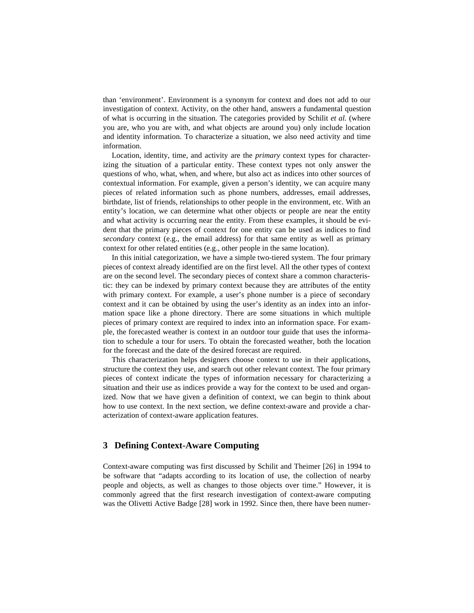than 'environment'. Environment is a synonym for context and does not add to our investigation of context. Activity, on the other hand, answers a fundamental question of what is occurring in the situation. The categories provided by Schilit *et al.* (where you are, who you are with, and what objects are around you) only include location and identity information. To characterize a situation, we also need activity and time information.

Location, identity, time, and activity are the *primary* context types for characterizing the situation of a particular entity. These context types not only answer the questions of who, what, when, and where, but also act as indices into other sources of contextual information. For example, given a person's identity, we can acquire many pieces of related information such as phone numbers, addresses, email addresses, birthdate, list of friends, relationships to other people in the environment, etc. With an entity's location, we can determine what other objects or people are near the entity and what activity is occurring near the entity. From these examples, it should be evident that the primary pieces of context for one entity can be used as indices to find *secondary* context (e.g., the email address) for that same entity as well as primary context for other related entities (e.g., other people in the same location).

In this initial categorization, we have a simple two-tiered system. The four primary pieces of context already identified are on the first level. All the other types of context are on the second level. The secondary pieces of context share a common characteristic: they can be indexed by primary context because they are attributes of the entity with primary context. For example, a user's phone number is a piece of secondary context and it can be obtained by using the user's identity as an index into an information space like a phone directory. There are some situations in which multiple pieces of primary context are required to index into an information space. For example, the forecasted weather is context in an outdoor tour guide that uses the information to schedule a tour for users. To obtain the forecasted weather, both the location for the forecast and the date of the desired forecast are required.

This characterization helps designers choose context to use in their applications, structure the context they use, and search out other relevant context. The four primary pieces of context indicate the types of information necessary for characterizing a situation and their use as indices provide a way for the context to be used and organized. Now that we have given a definition of context, we can begin to think about how to use context. In the next section, we define context-aware and provide a characterization of context-aware application features.

## **3 Defining Context-Aware Computing**

Context-aware computing was first discussed by Schilit and Theimer [26] in 1994 to be software that "adapts according to its location of use, the collection of nearby people and objects, as well as changes to those objects over time." However, it is commonly agreed that the first research investigation of context-aware computing was the Olivetti Active Badge [28] work in 1992. Since then, there have been numer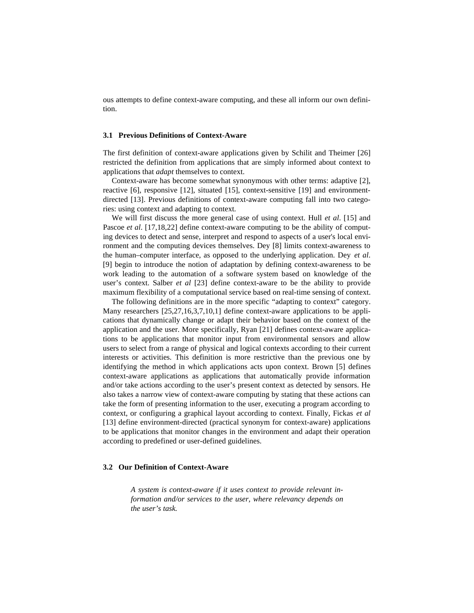ous attempts to define context-aware computing, and these all inform our own definition.

### **3.1 Previous Definitions of Context-Aware**

The first definition of context-aware applications given by Schilit and Theimer [26] restricted the definition from applications that are simply informed about context to applications that *adapt* themselves to context.

Context-aware has become somewhat synonymous with other terms: adaptive [2], reactive [6], responsive [12], situated [15], context-sensitive [19] and environmentdirected [13]. Previous definitions of context-aware computing fall into two categories: using context and adapting to context.

We will first discuss the more general case of using context. Hull *et al*. [15] and Pascoe *et al*. [17,18,22] define context-aware computing to be the ability of computing devices to detect and sense, interpret and respond to aspects of a user's local environment and the computing devices themselves. Dey [8] limits context-awareness to the human–computer interface, as opposed to the underlying application. Dey *et al*. [9] begin to introduce the notion of adaptation by defining context-awareness to be work leading to the automation of a software system based on knowledge of the user's context. Salber *et al* [23] define context-aware to be the ability to provide maximum flexibility of a computational service based on real-time sensing of context.

The following definitions are in the more specific "adapting to context" category. Many researchers [25,27,16,3,7,10,1] define context-aware applications to be applications that dynamically change or adapt their behavior based on the context of the application and the user. More specifically, Ryan [21] defines context-aware applications to be applications that monitor input from environmental sensors and allow users to select from a range of physical and logical contexts according to their current interests or activities. This definition is more restrictive than the previous one by identifying the method in which applications acts upon context. Brown [5] defines context-aware applications as applications that automatically provide information and/or take actions according to the user's present context as detected by sensors. He also takes a narrow view of context-aware computing by stating that these actions can take the form of presenting information to the user, executing a program according to context, or configuring a graphical layout according to context. Finally, Fickas *et al* [13] define environment-directed (practical synonym for context-aware) applications to be applications that monitor changes in the environment and adapt their operation according to predefined or user-defined guidelines.

#### **3.2 Our Definition of Context-Aware**

*A system is context-aware if it uses context to provide relevant information and/or services to the user, where relevancy depends on the user's task.*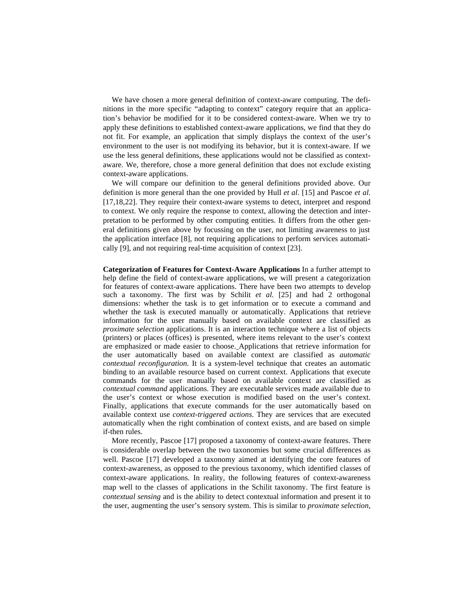We have chosen a more general definition of context-aware computing. The definitions in the more specific "adapting to context" category require that an application's behavior be modified for it to be considered context-aware. When we try to apply these definitions to established context-aware applications, we find that they do not fit. For example, an application that simply displays the context of the user's environment to the user is not modifying its behavior, but it is context-aware. If we use the less general definitions, these applications would not be classified as contextaware. We, therefore, chose a more general definition that does not exclude existing context-aware applications.

We will compare our definition to the general definitions provided above. Our definition is more general than the one provided by Hull *et al*. [15] and Pascoe *et al.* [17,18,22]. They require their context-aware systems to detect, interpret and respond to context. We only require the response to context, allowing the detection and interpretation to be performed by other computing entities. It differs from the other general definitions given above by focussing on the user, not limiting awareness to just the application interface [8], not requiring applications to perform services automatically [9], and not requiring real-time acquisition of context [23].

**Categorization of Features for Context-Aware Applications** In a further attempt to help define the field of context-aware applications, we will present a categorization for features of context-aware applications. There have been two attempts to develop such a taxonomy. The first was by Schilit *et al.* [25] and had 2 orthogonal dimensions: whether the task is to get information or to execute a command and whether the task is executed manually or automatically. Applications that retrieve information for the user manually based on available context are classified as *proximate selection* applications. It is an interaction technique where a list of objects (printers) or places (offices) is presented, where items relevant to the user's context are emphasized or made easier to choose. Applications that retrieve information for the user automatically based on available context are classified as *automatic contextual reconfiguration*. It is a system-level technique that creates an automatic binding to an available resource based on current context. Applications that execute commands for the user manually based on available context are classified as *contextual command* applications. They are executable services made available due to the user's context or whose execution is modified based on the user's context. Finally, applications that execute commands for the user automatically based on available context use *context-triggered actions*. They are services that are executed automatically when the right combination of context exists, and are based on simple if-then rules.

More recently, Pascoe [17] proposed a taxonomy of context-aware features. There is considerable overlap between the two taxonomies but some crucial differences as well. Pascoe [17] developed a taxonomy aimed at identifying the core features of context-awareness, as opposed to the previous taxonomy, which identified classes of context-aware applications. In reality, the following features of context-awareness map well to the classes of applications in the Schilit taxonomy. The first feature is *contextual sensing* and is the ability to detect contextual information and present it to the user, augmenting the user's sensory system. This is similar to *proximate selection*,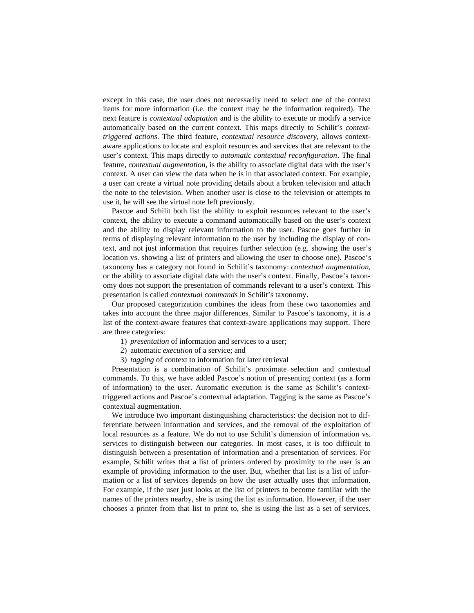except in this case, the user does not necessarily need to select one of the context items for more information (i.e. the context may be the information required). The next feature is *contextual adaptation* and is the ability to execute or modify a service automatically based on the current context. This maps directly to Schilit's *contexttriggered actions*. The third feature, *contextual resource discovery*, allows contextaware applications to locate and exploit resources and services that are relevant to the user's context. This maps directly to *automatic contextual reconfiguration*. The final feature, *contextual augmentation*, is the ability to associate digital data with the user's context. A user can view the data when he is in that associated context. For example, a user can create a virtual note providing details about a broken television and attach the note to the television. When another user is close to the television or attempts to use it, he will see the virtual note left previously.

Pascoe and Schilit both list the ability to exploit resources relevant to the user's context, the ability to execute a command automatically based on the user's context and the ability to display relevant information to the user. Pascoe goes further in terms of displaying relevant information to the user by including the display of context, and not just information that requires further selection (e.g. showing the user's location vs. showing a list of printers and allowing the user to choose one). Pascoe's taxonomy has a category not found in Schilit's taxonomy: *contextual augmentation*, or the ability to associate digital data with the user's context. Finally, Pascoe's taxonomy does not support the presentation of commands relevant to a user's context. This presentation is called *contextual commands* in Schilit's taxonomy.

Our proposed categorization combines the ideas from these two taxonomies and takes into account the three major differences. Similar to Pascoe's taxonomy, it is a list of the context-aware features that context-aware applications may support. There are three categories:

- 1) *presentation* of information and services to a user;
- 2) automatic *execution* of a service; and
- 3) *tagging* of context to information for later retrieval

Presentation is a combination of Schilit's proximate selection and contextual commands. To this, we have added Pascoe's notion of presenting context (as a form of information) to the user. Automatic execution is the same as Schilit's contexttriggered actions and Pascoe's contextual adaptation. Tagging is the same as Pascoe's contextual augmentation.

We introduce two important distinguishing characteristics: the decision not to differentiate between information and services, and the removal of the exploitation of local resources as a feature. We do not to use Schilit's dimension of information vs. services to distinguish between our categories. In most cases, it is too difficult to distinguish between a presentation of information and a presentation of services. For example, Schilit writes that a list of printers ordered by proximity to the user is an example of providing information to the user. But, whether that list is a list of information or a list of services depends on how the user actually uses that information. For example, if the user just looks at the list of printers to become familiar with the names of the printers nearby, she is using the list as information. However, if the user chooses a printer from that list to print to, she is using the list as a set of services.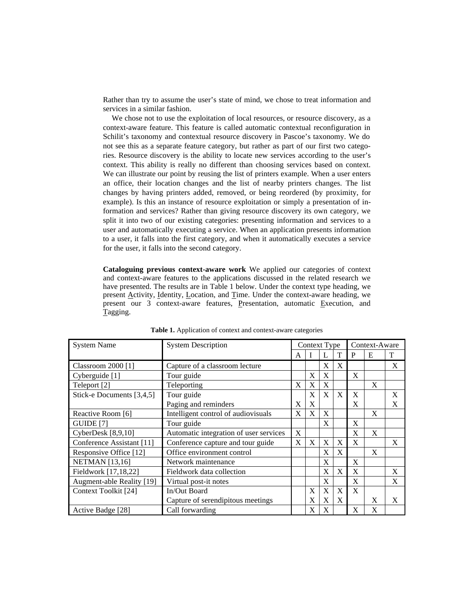Rather than try to assume the user's state of mind, we chose to treat information and services in a similar fashion.

We chose not to use the exploitation of local resources, or resource discovery, as a context-aware feature. This feature is called automatic contextual reconfiguration in Schilit's taxonomy and contextual resource discovery in Pascoe's taxonomy. We do not see this as a separate feature category, but rather as part of our first two categories. Resource discovery is the ability to locate new services according to the user's context. This ability is really no different than choosing services based on context. We can illustrate our point by reusing the list of printers example. When a user enters an office, their location changes and the list of nearby printers changes. The list changes by having printers added, removed, or being reordered (by proximity, for example). Is this an instance of resource exploitation or simply a presentation of information and services? Rather than giving resource discovery its own category, we split it into two of our existing categories: presenting information and services to a user and automatically executing a service. When an application presents information to a user, it falls into the first category, and when it automatically executes a service for the user, it falls into the second category.

**Cataloguing previous context-aware work** We applied our categories of context and context-aware features to the applications discussed in the related research we have presented. The results are in Table 1 below. Under the context type heading, we present Activity, Identity, Location, and Time. Under the context-aware heading, we present our 3 context-aware features, Presentation, automatic Execution, and Tagging.

| <b>System Name</b>        | <b>System Description</b>              | Context Type |              |   | Context-Aware |              |   |              |
|---------------------------|----------------------------------------|--------------|--------------|---|---------------|--------------|---|--------------|
|                           |                                        | A            |              |   | T             | P            | Е | T            |
| Classroom 2000 [1]        | Capture of a classroom lecture         |              |              | X | X             |              |   | X            |
| Cyberguide [1]            | Tour guide                             |              | X            | X |               | $\mathbf{X}$ |   |              |
| Teleport [2]              | Teleporting                            | $\mathbf{x}$ | X            | X |               |              | X |              |
| Stick-e Documents [3,4,5] | Tour guide                             |              | $\mathbf{X}$ | X | X             | X            |   | X            |
|                           | Paging and reminders                   | $\bf{X}$     | X            |   |               | X            |   | X            |
| Reactive Room [6]         | Intelligent control of audiovisuals    | X            | X            | X |               |              | X |              |
| GUIDE [7]                 | Tour guide                             |              |              | X |               | X            |   |              |
| CyberDesk [8,9,10]        | Automatic integration of user services | X            |              |   |               | X            | X |              |
| Conference Assistant [11] | Conference capture and tour guide      | X            | X            | X | X             | X            |   | X            |
| Responsive Office [12]    | Office environment control             |              |              | X | X             |              | X |              |
| <b>NETMAN</b> [13,16]     | Network maintenance                    |              |              | X |               | X            |   |              |
| Fieldwork [17,18,22]      | Fieldwork data collection              |              |              | X | X             | X            |   | X            |
| Augment-able Reality [19] | Virtual post-it notes                  |              |              | X |               | X            |   | $\mathbf{X}$ |
| Context Toolkit [24]      | In/Out Board                           |              | X            | X | X             | X            |   |              |
|                           | Capture of serendipitous meetings      |              | $\mathbf x$  | X | X             |              | X | X            |
| Active Badge [28]         | Call forwarding                        |              | X            | X |               | X            | X |              |

**Table 1.** Application of context and context-aware categories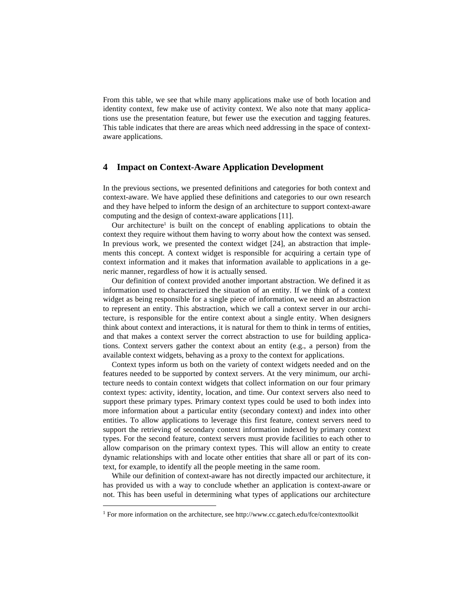From this table, we see that while many applications make use of both location and identity context, few make use of activity context. We also note that many applications use the presentation feature, but fewer use the execution and tagging features. This table indicates that there are areas which need addressing in the space of contextaware applications.

## **4 Impact on Context-Aware Application Development**

In the previous sections, we presented definitions and categories for both context and context-aware. We have applied these definitions and categories to our own research and they have helped to inform the design of an architecture to support context-aware computing and the design of context-aware applications [11].

Our architecture<sup>1</sup> is built on the concept of enabling applications to obtain the context they require without them having to worry about how the context was sensed. In previous work, we presented the context widget [24], an abstraction that implements this concept. A context widget is responsible for acquiring a certain type of context information and it makes that information available to applications in a generic manner, regardless of how it is actually sensed.

Our definition of context provided another important abstraction. We defined it as information used to characterized the situation of an entity. If we think of a context widget as being responsible for a single piece of information, we need an abstraction to represent an entity. This abstraction, which we call a context server in our architecture, is responsible for the entire context about a single entity. When designers think about context and interactions, it is natural for them to think in terms of entities, and that makes a context server the correct abstraction to use for building applications. Context servers gather the context about an entity (e.g., a person) from the available context widgets, behaving as a proxy to the context for applications.

Context types inform us both on the variety of context widgets needed and on the features needed to be supported by context servers. At the very minimum, our architecture needs to contain context widgets that collect information on our four primary context types: activity, identity, location, and time. Our context servers also need to support these primary types. Primary context types could be used to both index into more information about a particular entity (secondary context) and index into other entities. To allow applications to leverage this first feature, context servers need to support the retrieving of secondary context information indexed by primary context types. For the second feature, context servers must provide facilities to each other to allow comparison on the primary context types. This will allow an entity to create dynamic relationships with and locate other entities that share all or part of its context, for example, to identify all the people meeting in the same room.

While our definition of context-aware has not directly impacted our architecture, it has provided us with a way to conclude whether an application is context-aware or not. This has been useful in determining what types of applications our architecture

 $\frac{1}{1}$ <sup>1</sup> For more information on the architecture, see http://www.cc.gatech.edu/fce/contexttoolkit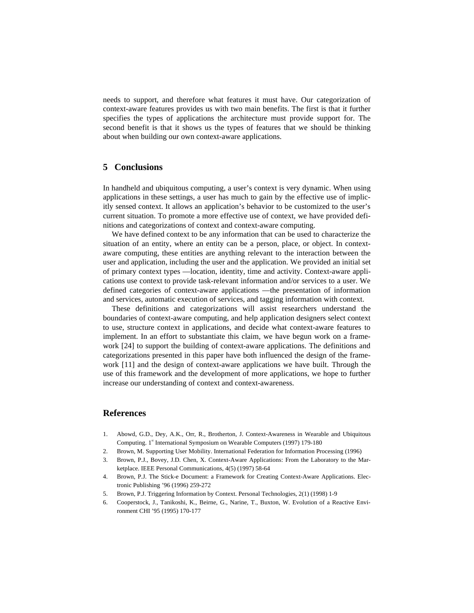needs to support, and therefore what features it must have. Our categorization of context-aware features provides us with two main benefits. The first is that it further specifies the types of applications the architecture must provide support for. The second benefit is that it shows us the types of features that we should be thinking about when building our own context-aware applications.

## **5 Conclusions**

In handheld and ubiquitous computing, a user's context is very dynamic. When using applications in these settings, a user has much to gain by the effective use of implicitly sensed context. It allows an application's behavior to be customized to the user's current situation. To promote a more effective use of context, we have provided definitions and categorizations of context and context-aware computing.

We have defined context to be any information that can be used to characterize the situation of an entity, where an entity can be a person, place, or object. In contextaware computing, these entities are anything relevant to the interaction between the user and application, including the user and the application. We provided an initial set of primary context types —location, identity, time and activity. Context-aware applications use context to provide task-relevant information and/or services to a user. We defined categories of context-aware applications —the presentation of information and services, automatic execution of services, and tagging information with context.

These definitions and categorizations will assist researchers understand the boundaries of context-aware computing, and help application designers select context to use, structure context in applications, and decide what context-aware features to implement. In an effort to substantiate this claim, we have begun work on a framework [24] to support the building of context-aware applications. The definitions and categorizations presented in this paper have both influenced the design of the framework [11] and the design of context-aware applications we have built. Through the use of this framework and the development of more applications, we hope to further increase our understanding of context and context-awareness.

# **References**

- 1. Abowd, G.D., Dey, A.K., Orr, R., Brotherton, J. Context-Awareness in Wearable and Ubiquitous Computing. 1st International Symposium on Wearable Computers (1997) 179-180
- 2. Brown, M. Supporting User Mobility. International Federation for Information Processing (1996)
- 3. Brown, P.J., Bovey, J.D. Chen, X. Context-Aware Applications: From the Laboratory to the Marketplace. IEEE Personal Communications, 4(5) (1997) 58-64
- 4. Brown, P.J. The Stick-e Document: a Framework for Creating Context-Aware Applications. Electronic Publishing '96 (1996) 259-272
- 5. Brown, P.J. Triggering Information by Context. Personal Technologies, 2(1) (1998) 1-9
- 6. Cooperstock, J., Tanikoshi, K., Beirne, G., Narine, T., Buxton, W. Evolution of a Reactive Environment CHI '95 (1995) 170-177